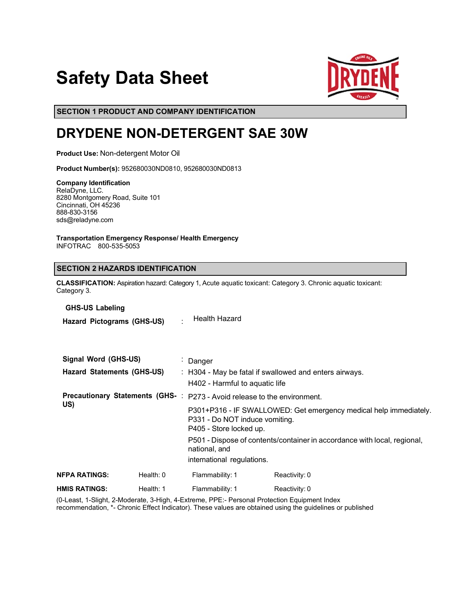# **Safety Data Sheet**



**SECTION 1 PRODUCT AND COMPANY IDENTIFICATION**

# **DRYDENE NON-DETERGENT SAE 30W**

**Product Use:** Non-detergent Motor Oil

**Product Number(s):** 952680030ND0810, 952680030ND0813

### **Company Identification**

RelaDyne, LLC. 8280 Montgomery Road, Suite 101 Cincinnati, OH 45236 888-830-3156 sds@reladyne.com

**Transportation Emergency Response/ Health Emergency** INFOTRAC 800-535-5053

# **SECTION 2 HAZARDS IDENTIFICATION**

**CLASSIFICATION:** Aspiration hazard: Category 1, Acute aquatic toxicant: Category 3. Chronic aquatic toxicant: Category 3.

**GHS-US Labeling**

**Hazard Pictograms (GHS-US)** : Health Hazard

| Signal Word (GHS-US)<br><b>Hazard Statements (GHS-US)</b> |               | : Danger<br>$\therefore$ H304 - May be fatal if swallowed and enters airways.<br>H402 - Harmful to aquatic life |                                                                                                                                |                                                                          |
|-----------------------------------------------------------|---------------|-----------------------------------------------------------------------------------------------------------------|--------------------------------------------------------------------------------------------------------------------------------|--------------------------------------------------------------------------|
|                                                           |               |                                                                                                                 | <b>Precautionary Statements (GHS-</b> : P273 - Avoid release to the environment.                                               |                                                                          |
|                                                           | US)           |                                                                                                                 | P301+P316 - IF SWALLOWED: Get emergency medical help immediately.<br>P331 - Do NOT induce vomiting.<br>P405 - Store locked up. |                                                                          |
|                                                           |               |                                                                                                                 | national, and<br>international regulations.                                                                                    | P501 - Dispose of contents/container in accordance with local, regional, |
|                                                           | NFPA RATINGS: | Health: 0                                                                                                       | Flammability: 1                                                                                                                | Reactivity: 0                                                            |
|                                                           | HMIS RATINGS: | Health: 1                                                                                                       | Flammability: 1                                                                                                                | Reactivity: 0                                                            |
|                                                           |               |                                                                                                                 |                                                                                                                                |                                                                          |

(0-Least, 1-Slight, 2-Moderate, 3-High, 4-Extreme, PPE:- Personal Protection Equipment Index recommendation, \*- Chronic Effect Indicator). These values are obtained using the guidelines or published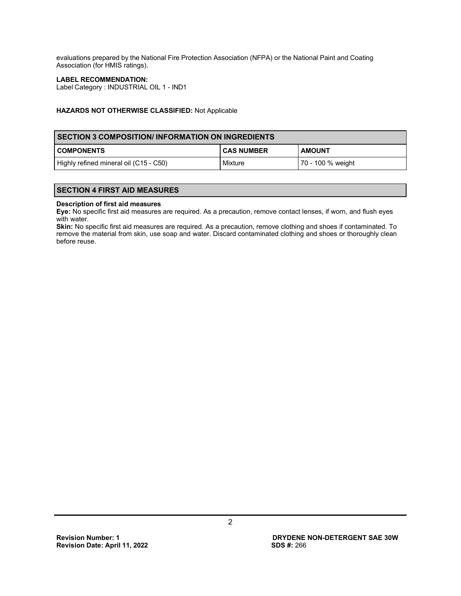evaluations prepared by the National Fire Protection Association (NFPA) or the National Paint and Coating Association (for HMIS ratings).

### **LABEL RECOMMENDATION:**

Label Category : INDUSTRIAL OIL 1 - IND1

### **HAZARDS NOT OTHERWISE CLASSIFIED:** Not Applicable

# **SECTION 3 COMPOSITION/ INFORMATION ON INGREDIENTS**

| l COMPONENTS                           | I CAS NUMBER | <b>AMOUNT</b>     |
|----------------------------------------|--------------|-------------------|
| Highly refined mineral oil (C15 - C50) | Mixture      | 70 - 100 % weight |

# **SECTION 4 FIRST AID MEASURES**

#### **Description of first aid measures**

**Eye:** No specific first aid measures are required. As a precaution, remove contact lenses, if worn, and flush eyes with water.

**Skin:** No specific first aid measures are required. As a precaution, remove clothing and shoes if contaminated. To remove the material from skin, use soap and water. Discard contaminated clothing and shoes or thoroughly clean before reuse.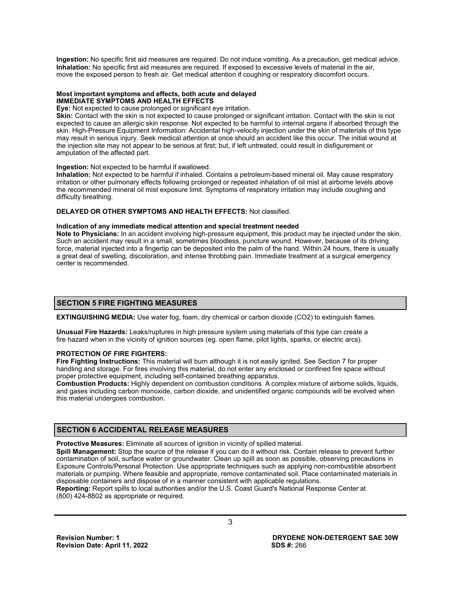**Ingestion:** No specific first aid measures are required. Do not induce vomiting. As a precaution, get medical advice. **Inhalation:** No specific first aid measures are required. If exposed to excessive levels of material in the air, move the exposed person to fresh air. Get medical attention if coughing or respiratory discomfort occurs.

### **Most important symptoms and effects, both acute and delayed IMMEDIATE SYMPTOMS AND HEALTH EFFECTS**

**Eye:** Not expected to cause prolonged or significant eye irritation.

**Skin:** Contact with the skin is not expected to cause prolonged or significant irritation. Contact with the skin is not expected to cause an allergic skin response. Not expected to be harmful to internal organs if absorbed through the skin. High-Pressure Equipment Information: Accidental high-velocity injection under the skin of materials of this type may result in serious injury. Seek medical attention at once should an accident like this occur. The initial wound at the injection site may not appear to be serious at first; but, if left untreated, could result in disfigurement or amputation of the affected part.

### **Ingestion:** Not expected to be harmful if swallowed.

**Inhalation:** Not expected to be harmful if inhaled. Contains a petroleum-based mineral oil. May cause respiratory irritation or other pulmonary effects following prolonged or repeated inhalation of oil mist at airborne levels above the recommended mineral oil mist exposure limit. Symptoms of respiratory irritation may include coughing and difficulty breathing.

### **DELAYED OR OTHER SYMPTOMS AND HEALTH EFFECTS:** Not classified.

### **Indication of any immediate medical attention and special treatment needed**

**Note to Physicians:** In an accident involving high-pressure equipment, this product may be injected under the skin. Such an accident may result in a small, sometimes bloodless, puncture wound. However, because of its driving force, material injected into a fingertip can be deposited into the palm of the hand. Within 24 hours, there is usually a great deal of swelling, discoloration, and intense throbbing pain. Immediate treatment at a surgical emergency center is recommended.

### **SECTION 5 FIRE FIGHTING MEASURES**

**EXTINGUISHING MEDIA:** Use water fog, foam, dry chemical or carbon dioxide (CO2) to extinguish flames.

**Unusual Fire Hazards:** Leaks/ruptures in high pressure system using materials of this type can create a fire hazard when in the vicinity of ignition sources (eg. open flame, pilot lights, sparks, or electric arcs).

### **PROTECTION OF FIRE FIGHTERS:**

**Fire Fighting Instructions:** This material will burn although it is not easily ignited. See Section 7 for proper handling and storage. For fires involving this material, do not enter any enclosed or confined fire space without proper protective equipment, including self-contained breathing apparatus.

**Combustion Products:** Highly dependent on combustion conditions. A complex mixture of airborne solids, liquids, and gases including carbon monoxide, carbon dioxide, and unidentified organic compounds will be evolved when this material undergoes combustion.

# **SECTION 6 ACCIDENTAL RELEASE MEASURES**

**Protective Measures:** Eliminate all sources of ignition in vicinity of spilled material.

**Spill Management:** Stop the source of the release if you can do it without risk. Contain release to prevent further contamination of soil, surface water or groundwater. Clean up spill as soon as possible, observing precautions in Exposure Controls/Personal Protection. Use appropriate techniques such as applying non-combustible absorbent materials or pumping. Where feasible and appropriate, remove contaminated soil. Place contaminated materials in disposable containers and dispose of in a manner consistent with applicable regulations. **Reporting:** Report spills to local authorities and/or the U.S. Coast Guard's National Response Center at

(800) 424-8802 as appropriate or required.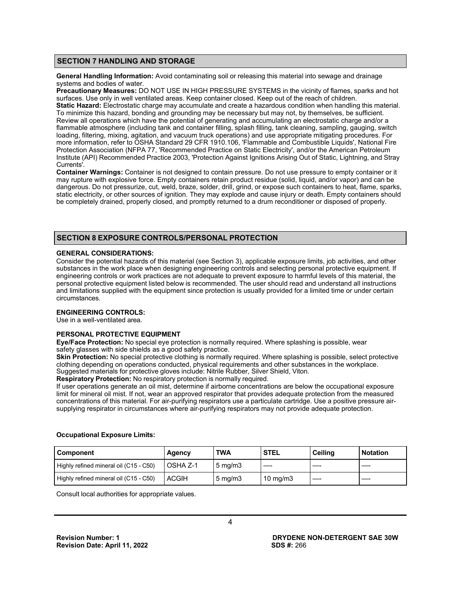# **SECTION 7 HANDLING AND STORAGE**

**General Handling Information:** Avoid contaminating soil or releasing this material into sewage and drainage systems and bodies of water.

**Precautionary Measures:** DO NOT USE IN HIGH PRESSURE SYSTEMS in the vicinity of flames, sparks and hot surfaces. Use only in well ventilated areas. Keep container closed. Keep out of the reach of children. **Static Hazard:** Electrostatic charge may accumulate and create a hazardous condition when handling this material. To minimize this hazard, bonding and grounding may be necessary but may not, by themselves, be sufficient. Review all operations which have the potential of generating and accumulating an electrostatic charge and/or a flammable atmosphere (including tank and container filling, splash filling, tank cleaning, sampling, gauging, switch loading, filtering, mixing, agitation, and vacuum truck operations) and use appropriate mitigating procedures. For more information, refer to OSHA Standard 29 CFR 1910.106, 'Flammable and Combustible Liquids', National Fire Protection Association (NFPA 77, 'Recommended Practice on Static Electricity', and/or the American Petroleum Institute (API) Recommended Practice 2003, 'Protection Against Ignitions Arising Out of Static, Lightning, and Stray Currents'.

**Container Warnings:** Container is not designed to contain pressure. Do not use pressure to empty container or it may rupture with explosive force. Empty containers retain product residue (solid, liquid, and/or vapor) and can be dangerous. Do not pressurize, cut, weld, braze, solder, drill, grind, or expose such containers to heat, flame, sparks, static electricity, or other sources of ignition. They may explode and cause injury or death. Empty containers should be completely drained, properly closed, and promptly returned to a drum reconditioner or disposed of properly.

# **SECTION 8 EXPOSURE CONTROLS/PERSONAL PROTECTION**

### **GENERAL CONSIDERATIONS:**

Consider the potential hazards of this material (see Section 3), applicable exposure limits, job activities, and other substances in the work place when designing engineering controls and selecting personal protective equipment. If engineering controls or work practices are not adequate to prevent exposure to harmful levels of this material, the personal protective equipment listed below is recommended. The user should read and understand all instructions and limitations supplied with the equipment since protection is usually provided for a limited time or under certain circumstances.

### **ENGINEERING CONTROLS:**

Use in a well-ventilated area.

# **PERSONAL PROTECTIVE EQUIPMENT**

**Eye/Face Protection:** No special eye protection is normally required. Where splashing is possible, wear safety glasses with side shields as a good safety practice.

**Skin Protection:** No special protective clothing is normally required. Where splashing is possible, select protective clothing depending on operations conducted, physical requirements and other substances in the workplace. Suggested materials for protective gloves include: Nitrile Rubber, Silver Shield, Viton.

**Respiratory Protection:** No respiratory protection is normally required.

If user operations generate an oil mist, determine if airborne concentrations are below the occupational exposure limit for mineral oil mist. If not, wear an approved respirator that provides adequate protection from the measured concentrations of this material. For air-purifying respirators use a particulate cartridge. Use a positive pressure airsupplying respirator in circumstances where air-purifying respirators may not provide adequate protection.

# **Component Agency TWA STEL Ceiling Notation** Highly refined mineral oil (C15 - C50)  $\vert$  OSHA Z-1  $\vert$  5 mg/m3 Highly refined mineral oil (C15 - C50)  $\vert$  ACGIH  $\vert$  5 mg/m3  $\vert$  10 mg/m3

**Occupational Exposure Limits:**

Consult local authorities for appropriate values.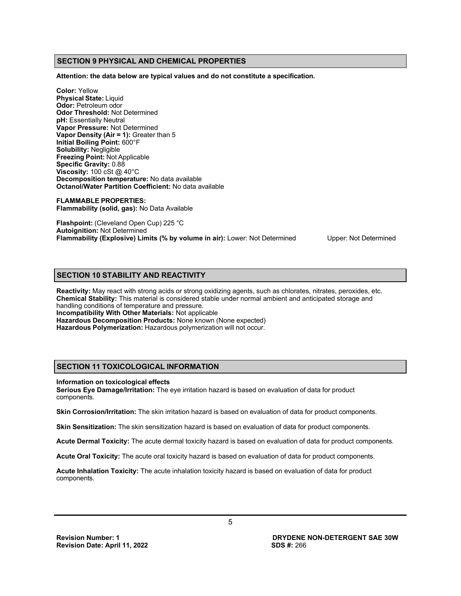# **SECTION 9 PHYSICAL AND CHEMICAL PROPERTIES**

**Attention: the data below are typical values and do not constitute a specification.**

**Color:** Yellow **Physical State:** Liquid **Odor:** Petroleum odor **Odor Threshold:** Not Determined **pH:** Essentially Neutral **Vapor Pressure:** Not Determined **Vapor Density (Air = 1):** Greater than 5 **Initial Boiling Point:** 600°F **Solubility:** Negligible **Freezing Point:** Not Applicable **Specific Gravity:** 0.88 **Viscosity:** 100 cSt @ 40°C **Decomposition temperature:** No data available **Octanol/Water Partition Coefficient:** No data available

**FLAMMABLE PROPERTIES: Flammability (solid, gas):** No Data Available

**Flashpoint:** (Cleveland Open Cup) 225 °C **Autoignition:** Not Determined **Flammability (Explosive) Limits (% by volume in air):** Lower: Not Determined Upper: Not Determined

# **SECTION 10 STABILITY AND REACTIVITY**

**Reactivity:** May react with strong acids or strong oxidizing agents, such as chlorates, nitrates, peroxides, etc. **Chemical Stability:** This material is considered stable under normal ambient and anticipated storage and handling conditions of temperature and pressure. **Incompatibility With Other Materials:** Not applicable **Hazardous Decomposition Products:** None known (None expected) **Hazardous Polymerization:** Hazardous polymerization will not occur.

# **SECTION 11 TOXICOLOGICAL INFORMATION**

### **Information on toxicological effects**

**Serious Eye Damage/Irritation:** The eye irritation hazard is based on evaluation of data for product components.

**Skin Corrosion/Irritation:** The skin irritation hazard is based on evaluation of data for product components.

**Skin Sensitization:** The skin sensitization hazard is based on evaluation of data for product components.

**Acute Dermal Toxicity:** The acute dermal toxicity hazard is based on evaluation of data for product components.

**Acute Oral Toxicity:** The acute oral toxicity hazard is based on evaluation of data for product components.

**Acute Inhalation Toxicity:** The acute inhalation toxicity hazard is based on evaluation of data for product components.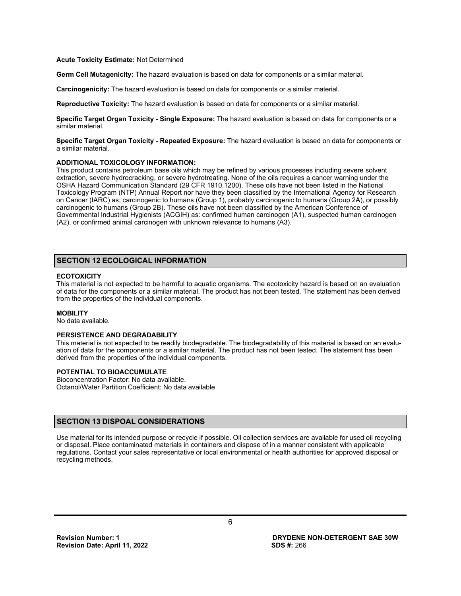### **Acute Toxicity Estimate:** Not Determined

**Germ Cell Mutagenicity:** The hazard evaluation is based on data for components or a similar material.

**Carcinogenicity:** The hazard evaluation is based on data for components or a similar material.

**Reproductive Toxicity:** The hazard evaluation is based on data for components or a similar material.

**Specific Target Organ Toxicity - Single Exposure:** The hazard evaluation is based on data for components or a similar material.

**Specific Target Organ Toxicity - Repeated Exposure:** The hazard evaluation is based on data for components or a similar material.

### **ADDITIONAL TOXICOLOGY INFORMATION:**

This product contains petroleum base oils which may be refined by various processes including severe solvent extraction, severe hydrocracking, or severe hydrotreating. None of the oils requires a cancer warning under the OSHA Hazard Communication Standard (29 CFR 1910.1200). These oils have not been listed in the National Toxicology Program (NTP) Annual Report nor have they been classified by the International Agency for Research on Cancer (IARC) as; carcinogenic to humans (Group 1), probably carcinogenic to humans (Group 2A), or possibly carcinogenic to humans (Group 2B). These oils have not been classified by the American Conference of Governmental Industrial Hygienists (ACGIH) as: confirmed human carcinogen (A1), suspected human carcinogen (A2), or confirmed animal carcinogen with unknown relevance to humans (A3).

# **SECTION 12 ECOLOGICAL INFORMATION**

# **ECOTOXICITY**

This material is not expected to be harmful to aquatic organisms. The ecotoxicity hazard is based on an evaluation of data for the components or a similar material. The product has not been tested. The statement has been derived from the properties of the individual components.

### **MOBILITY**

No data available.

### **PERSISTENCE AND DEGRADABILITY**

This material is not expected to be readily biodegradable. The biodegradability of this material is based on an evaluation of data for the components or a similar material. The product has not been tested. The statement has been derived from the properties of the individual components.

### **POTENTIAL TO BIOACCUMULATE**

Bioconcentration Factor: No data available. Octanol/Water Partition Coefficient: No data available

### **SECTION 13 DISPOAL CONSIDERATIONS**

Use material for its intended purpose or recycle if possible. Oil collection services are available for used oil recycling or disposal. Place contaminated materials in containers and dispose of in a manner consistent with applicable regulations. Contact your sales representative or local environmental or health authorities for approved disposal or recycling methods.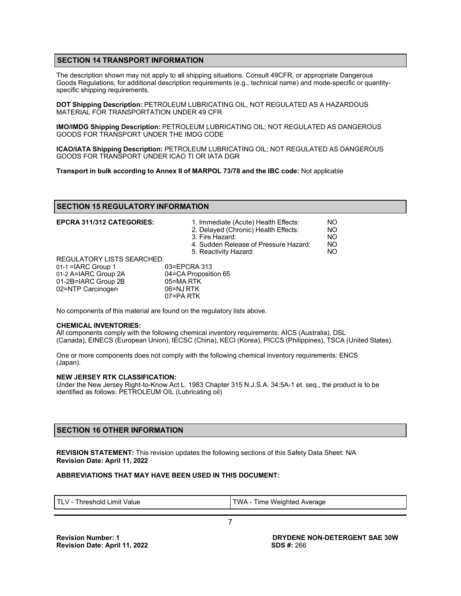# **SECTION 14 TRANSPORT INFORMATION**

The description shown may not apply to all shipping situations. Consult 49CFR, or appropriate Dangerous Goods Regulations, for additional description requirements (e.g., technical name) and mode-specific or quantityspecific shipping requirements.

**DOT Shipping Description:** PETROLEUM LUBRICATING OIL, NOT REGULATED AS A HAZARDOUS MATERIAL FOR TRANSPORTATION UNDER 49 CFR

**IMO/IMDG Shipping Description:** PETROLEUM LUBRICATING OIL; NOT REGULATED AS DANGEROUS GOODS FOR TRANSPORT UNDER THE IMDG CODE

**ICAO/IATA Shipping Description:** PETROLEUM LUBRICATING OIL; NOT REGULATED AS DANGEROUS GOODS FOR TRANSPORT UNDER ICAO TI OR IATA DGR

**Transport in bulk according to Annex II of MARPOL 73/78 and the IBC code:** Not applicable

### **SECTION 15 REGULATORY INFORMATION**

| EPCRA 311/312 CATEGORIES:         | 1. Immediate (Acute) Health Effects:<br>2. Delayed (Chronic) Health Effects:<br>3. Fire Hazard:<br>4. Sudden Release of Pressure Hazard: | NO<br>NO<br>NO<br>NO |
|-----------------------------------|------------------------------------------------------------------------------------------------------------------------------------------|----------------------|
|                                   | 5. Reactivity Hazard:                                                                                                                    | NO                   |
| <b>REGULATORY LISTS SEARCHED:</b> |                                                                                                                                          |                      |
| $01-1$ = ARC Group 1              | 03=EPCRA 313                                                                                                                             |                      |
| 01-2 A=IARC Group 2A              | 04=CA Proposition 65                                                                                                                     |                      |
| 01-2B=IARC Group 2B               | 05=MA RTK                                                                                                                                |                      |
| 02=NTP Carcinogen                 | 06=NJ RTK                                                                                                                                |                      |
|                                   | 07=PA RTK                                                                                                                                |                      |

No components of this material are found on the regulatory lists above.

### **CHEMICAL INVENTORIES:**

All components comply with the following chemical inventory requirements: AICS (Australia), DSL (Canada), EINECS (European Union), IECSC (China), KECI (Korea), PICCS (Philippines), TSCA (United States).

One or more components does not comply with the following chemical inventory requirements: ENCS (Japan).

### **NEW JERSEY RTK CLASSIFICATION:**

Under the New Jersey Right-to-Know Act L. 1983 Chapter 315 N.J.S.A. 34:5A-1 et. seq., the product is to be identified as follows: PETROLEUM OIL (Lubricating oil)

# **SECTION 16 OTHER INFORMATION**

**REVISION STATEMENT:** This revision updates the following sections of this Safety Data Sheet: N/A **Revision Date: April 11, 2022**

### **ABBREVIATIONS THAT MAY HAVE BEEN USED IN THIS DOCUMENT:**

| $TIV-$<br>Time Weighted Average<br>"WA<br>ˈhreshold<br>' imit Value |
|---------------------------------------------------------------------|
|---------------------------------------------------------------------|

7

**Revision Number: 1 Revision Date: April 11, 2022** **DRYDENE NON-DETERGENT SAE 30W SDS #:** 266